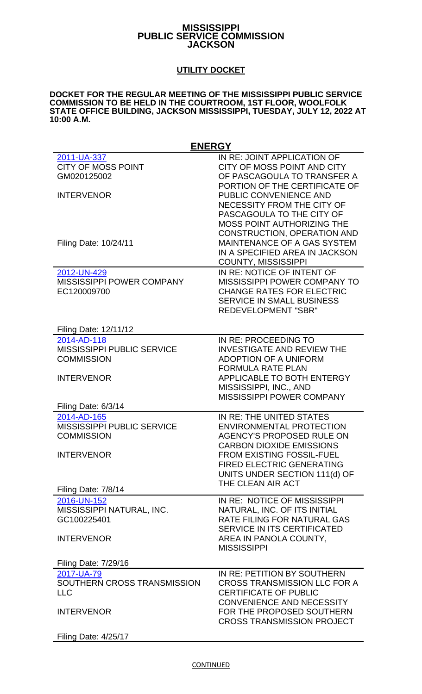## **MISSISSIPPI PUBLIC SERVICE COMMISSION JACKSON**

## **UTILITY DOCKET**

## **DOCKET FOR THE REGULAR MEETING OF THE MISSISSIPPI PUBLIC SERVICE COMMISSION TO BE HELD IN THE COURTROOM, 1ST FLOOR, WOOLFOLK STATE OFFICE BUILDING, JACKSON MISSISSIPPI, TUESDAY, JULY 12, 2022 AT 10:00 A.M.**

| <b>ENERGY</b>                                                                              |                                                                                                                                                                                                                                                                  |
|--------------------------------------------------------------------------------------------|------------------------------------------------------------------------------------------------------------------------------------------------------------------------------------------------------------------------------------------------------------------|
| 2011-UA-337<br><b>CITY OF MOSS POINT</b><br>GM020125002<br><b>INTERVENOR</b>               | IN RE: JOINT APPLICATION OF<br>CITY OF MOSS POINT AND CITY<br>OF PASCAGOULA TO TRANSFER A<br>PORTION OF THE CERTIFICATE OF<br>PUBLIC CONVENIENCE AND<br>NECESSITY FROM THE CITY OF<br>PASCAGOULA TO THE CITY OF<br><b>MOSS POINT AUTHORIZING THE</b>             |
| Filing Date: 10/24/11                                                                      | <b>CONSTRUCTION, OPERATION AND</b><br><b>MAINTENANCE OF A GAS SYSTEM</b><br>IN A SPECIFIED AREA IN JACKSON<br><b>COUNTY, MISSISSIPPI</b>                                                                                                                         |
| 2012-UN-429<br><b>MISSISSIPPI POWER COMPANY</b><br>EC120009700                             | IN RE: NOTICE OF INTENT OF<br>MISSISSIPPI POWER COMPANY TO<br><b>CHANGE RATES FOR ELECTRIC</b><br><b>SERVICE IN SMALL BUSINESS</b><br><b>REDEVELOPMENT "SBR"</b>                                                                                                 |
| Filing Date: 12/11/12                                                                      |                                                                                                                                                                                                                                                                  |
| 2014-AD-118<br>MISSISSIPPI PUBLIC SERVICE<br><b>COMMISSION</b>                             | IN RE: PROCEEDING TO<br><b>INVESTIGATE AND REVIEW THE</b><br><b>ADOPTION OF A UNIFORM</b><br><b>FORMULA RATE PLAN</b>                                                                                                                                            |
| <b>INTERVENOR</b>                                                                          | <b>APPLICABLE TO BOTH ENTERGY</b><br>MISSISSIPPI, INC., AND<br><b>MISSISSIPPI POWER COMPANY</b>                                                                                                                                                                  |
| Filing Date: 6/3/14                                                                        |                                                                                                                                                                                                                                                                  |
| 2014-AD-165<br><b>MISSISSIPPI PUBLIC SERVICE</b><br><b>COMMISSION</b><br><b>INTERVENOR</b> | IN RE: THE UNITED STATES<br><b>ENVIRONMENTAL PROTECTION</b><br><b>AGENCY'S PROPOSED RULE ON</b><br><b>CARBON DIOXIDE EMISSIONS</b><br><b>FROM EXISTING FOSSIL-FUEL</b><br><b>FIRED ELECTRIC GENERATING</b><br>UNITS UNDER SECTION 111(d) OF<br>THE CLEAN AIR ACT |
| Filing Date: 7/8/14                                                                        |                                                                                                                                                                                                                                                                  |
| 2016-UN-152<br>MISSISSIPPI NATURAL, INC.<br>GC100225401<br><b>INTERVENOR</b>               | IN RE: NOTICE OF MISSISSIPPI<br>NATURAL, INC. OF ITS INITIAL<br><b>RATE FILING FOR NATURAL GAS</b><br><b>SERVICE IN ITS CERTIFICATED</b><br>AREA IN PANOLA COUNTY,<br><b>MISSISSIPPI</b>                                                                         |
| <b>Filing Date: 7/29/16</b>                                                                |                                                                                                                                                                                                                                                                  |
| 2017-UA-79<br>SOUTHERN CROSS TRANSMISSION<br><b>LLC</b><br><b>INTERVENOR</b>               | IN RE: PETITION BY SOUTHERN<br><b>CROSS TRANSMISSION LLC FOR A</b><br><b>CERTIFICATE OF PUBLIC</b><br><b>CONVENIENCE AND NECESSITY</b><br>FOR THE PROPOSED SOUTHERN                                                                                              |
|                                                                                            | <b>CROSS TRANSMISSION PROJECT</b>                                                                                                                                                                                                                                |
| <b>Filing Date: 4/25/17</b>                                                                |                                                                                                                                                                                                                                                                  |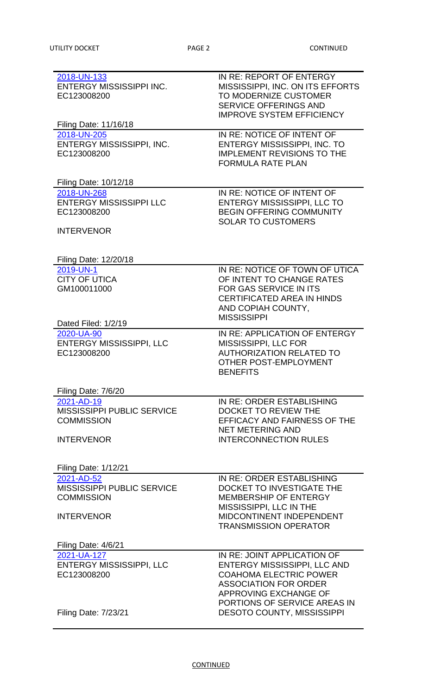| 2018-UN-133<br><b>ENTERGY MISSISSIPPI INC.</b><br>EC123008200           | IN RE: REPORT OF ENTERGY<br>MISSISSIPPI, INC. ON ITS EFFORTS<br>TO MODERNIZE CUSTOMER<br><b>SERVICE OFFERINGS AND</b><br><b>IMPROVE SYSTEM EFFICIENCY</b>                             |
|-------------------------------------------------------------------------|---------------------------------------------------------------------------------------------------------------------------------------------------------------------------------------|
| Filing Date: 11/16/18                                                   |                                                                                                                                                                                       |
| 2018-UN-205<br>ENTERGY MISSISSIPPI, INC.<br>EC123008200                 | IN RE: NOTICE OF INTENT OF<br><b>ENTERGY MISSISSIPPI, INC. TO</b><br><b>IMPLEMENT REVISIONS TO THE</b><br><b>FORMULA RATE PLAN</b>                                                    |
| Filing Date: 10/12/18                                                   |                                                                                                                                                                                       |
| 2018-UN-268<br><b>ENTERGY MISSISSIPPI LLC</b><br>EC123008200            | IN RE: NOTICE OF INTENT OF<br><b>ENTERGY MISSISSIPPI, LLC TO</b><br><b>BEGIN OFFERING COMMUNITY</b><br><b>SOLAR TO CUSTOMERS</b>                                                      |
| <b>INTERVENOR</b>                                                       |                                                                                                                                                                                       |
| Filing Date: 12/20/18                                                   |                                                                                                                                                                                       |
| 2019-UN-1<br><b>CITY OF UTICA</b><br>GM100011000<br>Dated Filed: 1/2/19 | IN RE: NOTICE OF TOWN OF UTICA<br>OF INTENT TO CHANGE RATES<br><b>FOR GAS SERVICE IN ITS</b><br><b>CERTIFICATED AREA IN HINDS</b><br>AND COPIAH COUNTY,<br><b>MISSISSIPPI</b>         |
| 2020-UA-90<br><b>ENTERGY MISSISSIPPI, LLC</b><br>EC123008200            | IN RE: APPLICATION OF ENTERGY<br>MISSISSIPPI, LLC FOR<br><b>AUTHORIZATION RELATED TO</b><br>OTHER POST-EMPLOYMENT<br><b>BENEFITS</b>                                                  |
| Filing Date: 7/6/20                                                     |                                                                                                                                                                                       |
| 2021-AD-19                                                              | IN RE: ORDER ESTABLISHING                                                                                                                                                             |
| MISSISSIPPI PUBLIC SERVICE<br><b>COMMISSION</b>                         | <b>DOCKET TO REVIEW THE</b><br>EFFICACY AND FAIRNESS OF THE                                                                                                                           |
| <b>INTERVENOR</b>                                                       | <b>NET METERING AND</b><br><b>INTERCONNECTION RULES</b>                                                                                                                               |
| <b>Filing Date: 1/12/21</b>                                             |                                                                                                                                                                                       |
| 2021-AD-52                                                              | IN RE: ORDER ESTABLISHING                                                                                                                                                             |
| <b>MISSISSIPPI PUBLIC SERVICE</b><br><b>COMMISSION</b>                  | DOCKET TO INVESTIGATE THE<br><b>MEMBERSHIP OF ENTERGY</b>                                                                                                                             |
| <b>INTERVENOR</b>                                                       | MISSISSIPPI, LLC IN THE<br><b>MIDCONTINENT INDEPENDENT</b><br><b>TRANSMISSION OPERATOR</b>                                                                                            |
| Filing Date: 4/6/21                                                     |                                                                                                                                                                                       |
| 2021-UA-127<br><b>ENTERGY MISSISSIPPI, LLC</b><br>EC123008200           | IN RE: JOINT APPLICATION OF<br>ENTERGY MISSISSIPPI, LLC AND<br><b>COAHOMA ELECTRIC POWER</b><br><b>ASSOCIATION FOR ORDER</b><br>APPROVING EXCHANGE OF<br>PORTIONS OF SERVICE AREAS IN |
| <b>Filing Date: 7/23/21</b>                                             | <b>DESOTO COUNTY, MISSISSIPPI</b>                                                                                                                                                     |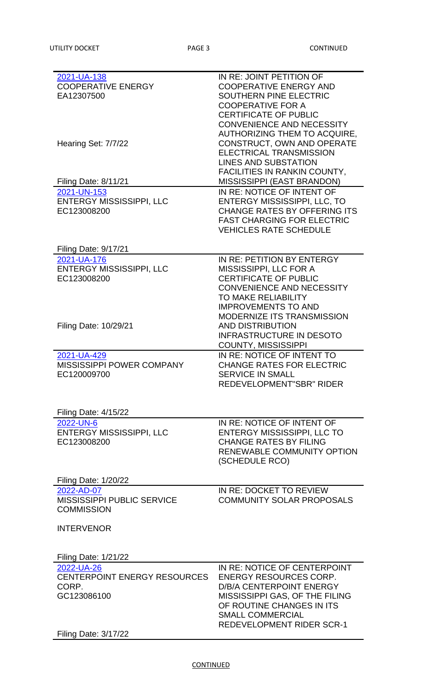| 2021-UA-138                         | IN RE: JOINT PETITION OF            |
|-------------------------------------|-------------------------------------|
| <b>COOPERATIVE ENERGY</b>           | <b>COOPERATIVE ENERGY AND</b>       |
|                                     |                                     |
| EA12307500                          | SOUTHERN PINE ELECTRIC              |
|                                     | <b>COOPERATIVE FOR A</b>            |
|                                     | <b>CERTIFICATE OF PUBLIC</b>        |
|                                     | <b>CONVENIENCE AND NECESSITY</b>    |
|                                     |                                     |
|                                     | AUTHORIZING THEM TO ACQUIRE,        |
| Hearing Set: 7/7/22                 | CONSTRUCT, OWN AND OPERATE          |
|                                     | <b>ELECTRICAL TRANSMISSION</b>      |
|                                     | <b>LINES AND SUBSTATION</b>         |
|                                     |                                     |
|                                     | <b>FACILITIES IN RANKIN COUNTY,</b> |
| Filing Date: 8/11/21                | <b>MISSISSIPPI (EAST BRANDON)</b>   |
| 2021-UN-153                         | IN RE: NOTICE OF INTENT OF          |
| ENTERGY MISSISSIPPI, LLC            | <b>ENTERGY MISSISSIPPI, LLC, TO</b> |
| EC123008200                         | <b>CHANGE RATES BY OFFERING ITS</b> |
|                                     |                                     |
|                                     | <b>FAST CHARGING FOR ELECTRIC</b>   |
|                                     | <b>VEHICLES RATE SCHEDULE</b>       |
|                                     |                                     |
| <b>Filing Date: 9/17/21</b>         |                                     |
| 2021-UA-176                         | IN RE: PETITION BY ENTERGY          |
| <b>ENTERGY MISSISSIPPI, LLC</b>     | MISSISSIPPI, LLC FOR A              |
|                                     |                                     |
| EC123008200                         | <b>CERTIFICATE OF PUBLIC</b>        |
|                                     | <b>CONVENIENCE AND NECESSITY</b>    |
|                                     | TO MAKE RELIABILITY                 |
|                                     | <b>IMPROVEMENTS TO AND</b>          |
|                                     |                                     |
|                                     | <b>MODERNIZE ITS TRANSMISSION</b>   |
| Filing Date: 10/29/21               | <b>AND DISTRIBUTION</b>             |
|                                     | <b>INFRASTRUCTURE IN DESOTO</b>     |
|                                     | <b>COUNTY, MISSISSIPPI</b>          |
| 2021-UA-429                         | IN RE: NOTICE OF INTENT TO          |
|                                     |                                     |
| <b>MISSISSIPPI POWER COMPANY</b>    | <b>CHANGE RATES FOR ELECTRIC</b>    |
|                                     |                                     |
| EC120009700                         | <b>SERVICE IN SMALL</b>             |
|                                     | <b>REDEVELOPMENT"SBR" RIDER</b>     |
|                                     |                                     |
|                                     |                                     |
| <b>Filing Date: 4/15/22</b>         |                                     |
| 2022-UN-6                           | IN RE: NOTICE OF INTENT OF          |
|                                     |                                     |
| ENTERGY MISSISSIPPI, LLC            | <b>ENTERGY MISSISSIPPI, LLC TO</b>  |
| EC123008200                         | <b>CHANGE RATES BY FILING</b>       |
|                                     | RENEWABLE COMMUNITY OPTION          |
|                                     | (SCHEDULE RCO)                      |
|                                     |                                     |
| <b>Filing Date: 1/20/22</b>         |                                     |
| 2022-AD-07                          | IN RE: DOCKET TO REVIEW             |
| <b>MISSISSIPPI PUBLIC SERVICE</b>   | <b>COMMUNITY SOLAR PROPOSALS</b>    |
|                                     |                                     |
| <b>COMMISSION</b>                   |                                     |
|                                     |                                     |
| <b>INTERVENOR</b>                   |                                     |
|                                     |                                     |
|                                     |                                     |
| <b>Filing Date: 1/21/22</b>         |                                     |
| 2022-UA-26                          | IN RE: NOTICE OF CENTERPOINT        |
| <b>CENTERPOINT ENERGY RESOURCES</b> | <b>ENERGY RESOURCES CORP.</b>       |
| CORP.                               | <b>D/B/A CENTERPOINT ENERGY</b>     |
| GC123086100                         |                                     |
|                                     | MISSISSIPPI GAS, OF THE FILING      |
|                                     | OF ROUTINE CHANGES IN ITS           |
|                                     | <b>SMALL COMMERCIAL</b>             |
| <b>Filing Date: 3/17/22</b>         | <b>REDEVELOPMENT RIDER SCR-1</b>    |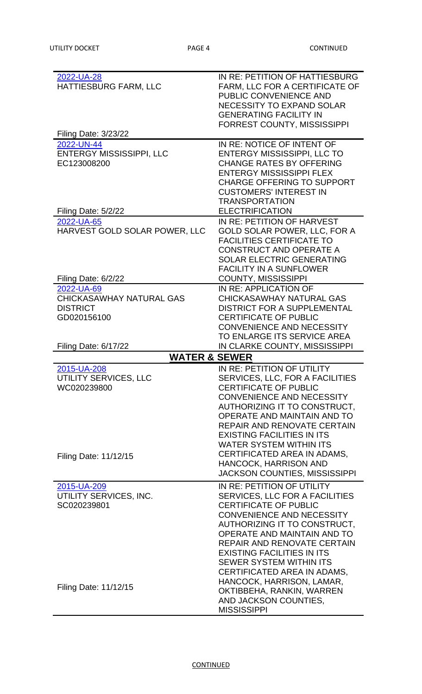| 2022-UA-28                      | IN RE: PETITION OF HATTIESBURG              |
|---------------------------------|---------------------------------------------|
| HATTIESBURG FARM, LLC           | FARM, LLC FOR A CERTIFICATE OF              |
|                                 |                                             |
|                                 | PUBLIC CONVENIENCE AND                      |
|                                 | <b>NECESSITY TO EXPAND SOLAR</b>            |
|                                 | <b>GENERATING FACILITY IN</b>               |
|                                 | <b>FORREST COUNTY, MISSISSIPPI</b>          |
| <b>Filing Date: 3/23/22</b>     |                                             |
|                                 |                                             |
| 2022-UN-44                      | IN RE: NOTICE OF INTENT OF                  |
| <b>ENTERGY MISSISSIPPI, LLC</b> | ENTERGY MISSISSIPPI, LLC TO                 |
| EC123008200                     | <b>CHANGE RATES BY OFFERING</b>             |
|                                 | <b>ENTERGY MISSISSIPPI FLEX</b>             |
|                                 | <b>CHARGE OFFERING TO SUPPORT</b>           |
|                                 |                                             |
|                                 | <b>CUSTOMERS' INTEREST IN</b>               |
|                                 | <b>TRANSPORTATION</b>                       |
| Filing Date: 5/2/22             | <b>ELECTRIFICATION</b>                      |
| 2022-UA-65                      | IN RE: PETITION OF HARVEST                  |
| HARVEST GOLD SOLAR POWER, LLC   | <b>GOLD SOLAR POWER, LLC, FOR A</b>         |
|                                 | <b>FACILITIES CERTIFICATE TO</b>            |
|                                 |                                             |
|                                 | <b>CONSTRUCT AND OPERATE A</b>              |
|                                 | <b>SOLAR ELECTRIC GENERATING</b>            |
|                                 | <b>FACILITY IN A SUNFLOWER</b>              |
| Filing Date: 6/2/22             | <b>COUNTY, MISSISSIPPI</b>                  |
| 2022-UA-69                      | IN RE: APPLICATION OF                       |
|                                 |                                             |
| <b>CHICKASAWHAY NATURAL GAS</b> | CHICKASAWHAY NATURAL GAS                    |
| <b>DISTRICT</b>                 | <b>DISTRICT FOR A SUPPLEMENTAL</b>          |
| GD020156100                     | <b>CERTIFICATE OF PUBLIC</b>                |
|                                 | <b>CONVENIENCE AND NECESSITY</b>            |
|                                 | TO ENLARGE ITS SERVICE AREA                 |
|                                 |                                             |
|                                 |                                             |
| <b>Filing Date: 6/17/22</b>     | IN CLARKE COUNTY, MISSISSIPPI               |
| <b>WATER &amp; SEWER</b>        |                                             |
| 2015-UA-208                     | IN RE: PETITION OF UTILITY                  |
|                                 | SERVICES, LLC, FOR A FACILITIES             |
| UTILITY SERVICES, LLC           |                                             |
| WC020239800                     | <b>CERTIFICATE OF PUBLIC</b>                |
|                                 | <b>CONVENIENCE AND NECESSITY</b>            |
|                                 | AUTHORIZING IT TO CONSTRUCT,                |
|                                 | OPERATE AND MAINTAIN AND TO                 |
|                                 | REPAIR AND RENOVATE CERTAIN                 |
|                                 | <b>EXISTING FACILITIES IN ITS</b>           |
|                                 |                                             |
|                                 | <b>WATER SYSTEM WITHIN ITS</b>              |
| Filing Date: 11/12/15           | CERTIFICATED AREA IN ADAMS,                 |
|                                 | <b>HANCOCK, HARRISON AND</b>                |
|                                 | JACKSON COUNTIES, MISSISSIPPI               |
|                                 | IN RE: PETITION OF UTILITY                  |
| 2015-UA-209                     |                                             |
| UTILITY SERVICES, INC.          | SERVICES, LLC FOR A FACILITIES              |
| SC020239801                     | <b>CERTIFICATE OF PUBLIC</b>                |
|                                 | <b>CONVENIENCE AND NECESSITY</b>            |
|                                 | AUTHORIZING IT TO CONSTRUCT,                |
|                                 | OPERATE AND MAINTAIN AND TO                 |
|                                 | REPAIR AND RENOVATE CERTAIN                 |
|                                 | <b>EXISTING FACILITIES IN ITS</b>           |
|                                 |                                             |
|                                 | <b>SEWER SYSTEM WITHIN ITS</b>              |
|                                 | CERTIFICATED AREA IN ADAMS,                 |
|                                 | HANCOCK, HARRISON, LAMAR,                   |
| Filing Date: 11/12/15           | OKTIBBEHA, RANKIN, WARREN                   |
|                                 | AND JACKSON COUNTIES,<br><b>MISSISSIPPI</b> |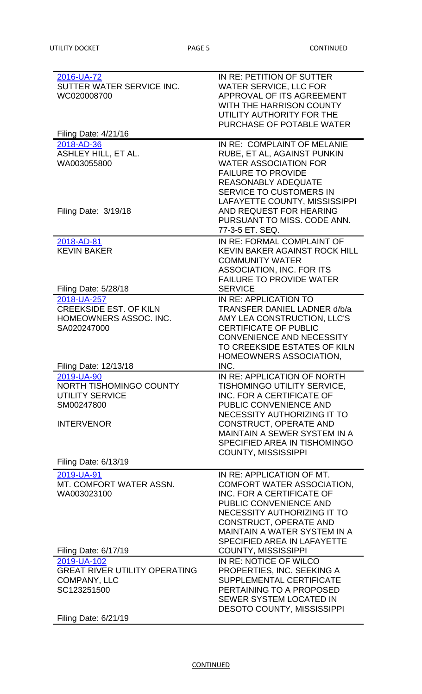| 2016-UA-72<br>SUTTER WATER SERVICE INC.<br>WC020008700                                                     | IN RE: PETITION OF SUTTER<br><b>WATER SERVICE, LLC FOR</b><br>APPROVAL OF ITS AGREEMENT<br>WITH THE HARRISON COUNTY<br>UTILITY AUTHORITY FOR THE<br>PURCHASE OF POTABLE WATER                                                                               |
|------------------------------------------------------------------------------------------------------------|-------------------------------------------------------------------------------------------------------------------------------------------------------------------------------------------------------------------------------------------------------------|
| Filing Date: 4/21/16                                                                                       |                                                                                                                                                                                                                                                             |
| 2018-AD-36<br><b>ASHLEY HILL, ET AL.</b><br>WA003055800                                                    | IN RE: COMPLAINT OF MELANIE<br>RUBE, ET AL, AGAINST PUNKIN<br><b>WATER ASSOCIATION FOR</b><br><b>FAILURE TO PROVIDE</b><br><b>REASONABLY ADEQUATE</b><br><b>SERVICE TO CUSTOMERS IN</b><br>LAFAYETTE COUNTY, MISSISSIPPI                                    |
| Filing Date: 3/19/18                                                                                       | AND REQUEST FOR HEARING<br>PURSUANT TO MISS, CODE ANN.<br>77-3-5 ET. SEQ.                                                                                                                                                                                   |
| 2018-AD-81<br><b>KEVIN BAKER</b>                                                                           | IN RE: FORMAL COMPLAINT OF<br><b>KEVIN BAKER AGAINST ROCK HILL</b><br><b>COMMUNITY WATER</b><br><b>ASSOCIATION, INC. FOR ITS</b><br><b>FAILURE TO PROVIDE WATER</b>                                                                                         |
| Filing Date: 5/28/18                                                                                       | <b>SERVICE</b>                                                                                                                                                                                                                                              |
| 2018-UA-257<br><b>CREEKSIDE EST. OF KILN</b><br>HOMEOWNERS ASSOC. INC.<br>SA020247000                      | IN RE: APPLICATION TO<br>TRANSFER DANIEL LADNER d/b/a<br>AMY LEA CONSTRUCTION, LLC'S<br><b>CERTIFICATE OF PUBLIC</b><br><b>CONVENIENCE AND NECESSITY</b><br>TO CREEKSIDE ESTATES OF KILN<br>HOMEOWNERS ASSOCIATION,                                         |
| Filing Date: 12/13/18                                                                                      | INC.                                                                                                                                                                                                                                                        |
| 2019-UA-90<br>NORTH TISHOMINGO COUNTY<br><b>UTILITY SERVICE</b><br>SM00247800                              | IN RE: APPLICATION OF NORTH<br>TISHOMINGO UTILITY SERVICE,<br>INC. FOR A CERTIFICATE OF<br>PUBLIC CONVENIENCE AND<br>NECESSITY AUTHORIZING IT TO                                                                                                            |
| <b>INTERVENOR</b>                                                                                          | <b>CONSTRUCT, OPERATE AND</b><br><b>MAINTAIN A SEWER SYSTEM IN A</b><br>SPECIFIED AREA IN TISHOMINGO<br><b>COUNTY, MISSISSIPPI</b>                                                                                                                          |
| <b>Filing Date: 6/13/19</b>                                                                                |                                                                                                                                                                                                                                                             |
| 2019-UA-91<br>MT. COMFORT WATER ASSN.<br>WA003023100                                                       | IN RE: APPLICATION OF MT.<br><b>COMFORT WATER ASSOCIATION,</b><br>INC. FOR A CERTIFICATE OF<br>PUBLIC CONVENIENCE AND<br>NECESSITY AUTHORIZING IT TO<br><b>CONSTRUCT, OPERATE AND</b><br><b>MAINTAIN A WATER SYSTEM IN A</b><br>SPECIFIED AREA IN LAFAYETTE |
| Filing Date: 6/17/19                                                                                       | <b>COUNTY, MISSISSIPPI</b>                                                                                                                                                                                                                                  |
| 2019-UA-102<br><b>GREAT RIVER UTILITY OPERATING</b><br>COMPANY, LLC<br>SC123251500<br>Filing Date: 6/21/19 | IN RE: NOTICE OF WILCO<br>PROPERTIES, INC. SEEKING A<br><b>SUPPLEMENTAL CERTIFICATE</b><br>PERTAINING TO A PROPOSED<br><b>SEWER SYSTEM LOCATED IN</b><br><b>DESOTO COUNTY, MISSISSIPPI</b>                                                                  |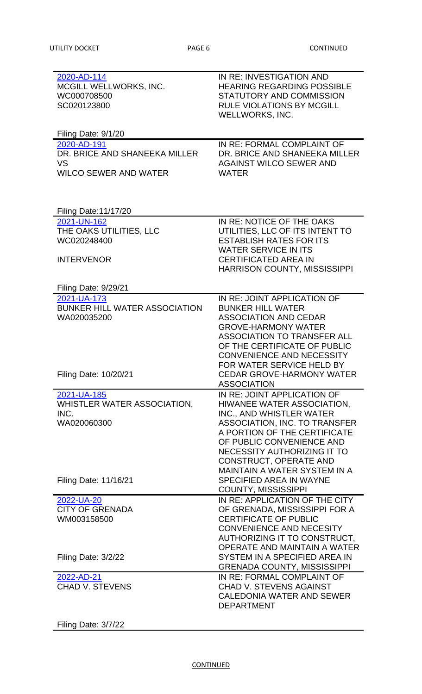| 2020-AD-114<br>MCGILL WELLWORKS, INC.<br>WC000708500<br>SC020123800 | IN RE: INVESTIGATION AND<br><b>HEARING REGARDING POSSIBLE</b><br>STATUTORY AND COMMISSION<br><b>RULE VIOLATIONS BY MCGILL</b><br><b>WELLWORKS, INC.</b> |
|---------------------------------------------------------------------|---------------------------------------------------------------------------------------------------------------------------------------------------------|
| Filing Date: 9/1/20                                                 |                                                                                                                                                         |
| 2020-AD-191                                                         | IN RE: FORMAL COMPLAINT OF                                                                                                                              |
| DR. BRICE AND SHANEEKA MILLER<br><b>VS</b>                          | DR. BRICE AND SHANEEKA MILLER<br><b>AGAINST WILCO SEWER AND</b>                                                                                         |
| <b>WILCO SEWER AND WATER</b>                                        | <b>WATER</b>                                                                                                                                            |
|                                                                     |                                                                                                                                                         |
| <b>Filing Date:11/17/20</b>                                         |                                                                                                                                                         |
| 2021-UN-162                                                         | IN RE: NOTICE OF THE OAKS                                                                                                                               |
| THE OAKS UTILITIES, LLC                                             | UTILITIES, LLC OF ITS INTENT TO                                                                                                                         |
| WC020248400                                                         | <b>ESTABLISH RATES FOR ITS</b>                                                                                                                          |
|                                                                     | <b>WATER SERVICE IN ITS</b>                                                                                                                             |
| <b>INTERVENOR</b>                                                   | <b>CERTIFICATED AREA IN</b><br><b>HARRISON COUNTY, MISSISSIPPI</b>                                                                                      |
|                                                                     |                                                                                                                                                         |
| Filing Date: 9/29/21                                                |                                                                                                                                                         |
| 2021-UA-173                                                         | IN RE: JOINT APPLICATION OF                                                                                                                             |
| <b>BUNKER HILL WATER ASSOCIATION</b>                                | <b>BUNKER HILL WATER</b>                                                                                                                                |
| WA020035200                                                         | <b>ASSOCIATION AND CEDAR</b>                                                                                                                            |
|                                                                     | <b>GROVE-HARMONY WATER</b>                                                                                                                              |
|                                                                     | <b>ASSOCIATION TO TRANSFER ALL</b>                                                                                                                      |
|                                                                     | OF THE CERTIFICATE OF PUBLIC<br><b>CONVENIENCE AND NECESSITY</b>                                                                                        |
|                                                                     | FOR WATER SERVICE HELD BY                                                                                                                               |
| Filing Date: 10/20/21                                               | <b>CEDAR GROVE-HARMONY WATER</b>                                                                                                                        |
|                                                                     | <b>ASSOCIATION</b>                                                                                                                                      |
| 2021-UA-185                                                         | IN RE: JOINT APPLICATION OF                                                                                                                             |
| WHISTLER WATER ASSOCIATION,                                         | HIWANEE WATER ASSOCIATION,                                                                                                                              |
| INC.                                                                | INC., AND WHISTLER WATER                                                                                                                                |
| WA020060300                                                         | <b>ASSOCIATION, INC. TO TRANSFER</b>                                                                                                                    |
|                                                                     | A PORTION OF THE CERTIFICATE                                                                                                                            |
|                                                                     | OF PUBLIC CONVENIENCE AND<br>NECESSITY AUTHORIZING IT TO                                                                                                |
|                                                                     | <b>CONSTRUCT, OPERATE AND</b>                                                                                                                           |
|                                                                     | <b>MAINTAIN A WATER SYSTEM IN A</b>                                                                                                                     |
| Filing Date: 11/16/21                                               | SPECIFIED AREA IN WAYNE                                                                                                                                 |
|                                                                     | <b>COUNTY, MISSISSIPPI</b>                                                                                                                              |
| 2022-UA-20                                                          | IN RE: APPLICATION OF THE CITY                                                                                                                          |
| <b>CITY OF GRENADA</b>                                              | OF GRENADA, MISSISSIPPI FOR A                                                                                                                           |
| WM003158500                                                         | <b>CERTIFICATE OF PUBLIC</b>                                                                                                                            |
|                                                                     | <b>CONVENIENCE AND NECESITY</b>                                                                                                                         |
|                                                                     | AUTHORIZING IT TO CONSTRUCT,<br>OPERATE AND MAINTAIN A WATER                                                                                            |
| Filing Date: 3/2/22                                                 | SYSTEM IN A SPECIFIED AREA IN                                                                                                                           |
|                                                                     | <b>GRENADA COUNTY, MISSISSIPPI</b>                                                                                                                      |
| 2022-AD-21                                                          | IN RE: FORMAL COMPLAINT OF                                                                                                                              |
| <b>CHAD V. STEVENS</b>                                              | <b>CHAD V. STEVENS AGAINST</b>                                                                                                                          |
|                                                                     | <b>CALEDONIA WATER AND SEWER</b>                                                                                                                        |
|                                                                     | <b>DEPARTMENT</b>                                                                                                                                       |
|                                                                     |                                                                                                                                                         |

## Filing Date: 3/7/22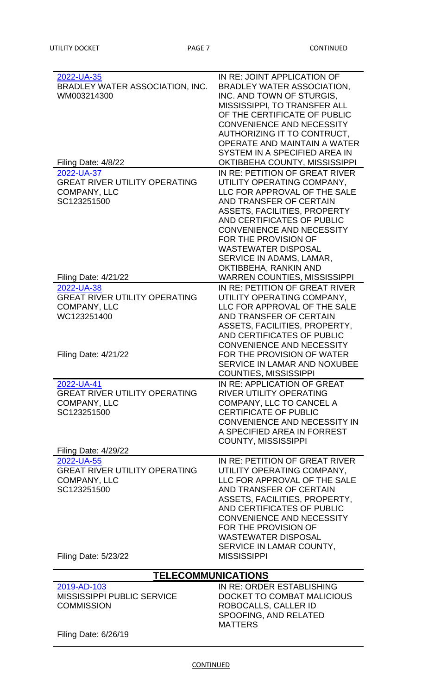| 2022-UA-35<br>BRADLEY WATER ASSOCIATION, INC.<br>WM003214300<br>Filing Date: 4/8/22 | IN RE: JOINT APPLICATION OF<br><b>BRADLEY WATER ASSOCIATION,</b><br>INC. AND TOWN OF STURGIS,<br><b>MISSISSIPPI, TO TRANSFER ALL</b><br>OF THE CERTIFICATE OF PUBLIC<br><b>CONVENIENCE AND NECESSITY</b><br>AUTHORIZING IT TO CONTRUCT,<br>OPERATE AND MAINTAIN A WATER<br>SYSTEM IN A SPECIFIED AREA IN<br>OKTIBBEHA COUNTY, MISSISSIPPI<br>IN RE: PETITION OF GREAT RIVER |
|-------------------------------------------------------------------------------------|-----------------------------------------------------------------------------------------------------------------------------------------------------------------------------------------------------------------------------------------------------------------------------------------------------------------------------------------------------------------------------|
| 2022-UA-37                                                                          |                                                                                                                                                                                                                                                                                                                                                                             |
| <b>GREAT RIVER UTILITY OPERATING</b>                                                | UTILITY OPERATING COMPANY,                                                                                                                                                                                                                                                                                                                                                  |
| <b>COMPANY, LLC</b>                                                                 | LLC FOR APPROVAL OF THE SALE                                                                                                                                                                                                                                                                                                                                                |
| SC123251500                                                                         | AND TRANSFER OF CERTAIN                                                                                                                                                                                                                                                                                                                                                     |
|                                                                                     | <b>ASSETS, FACILITIES, PROPERTY</b>                                                                                                                                                                                                                                                                                                                                         |
|                                                                                     | AND CERTIFICATES OF PUBLIC                                                                                                                                                                                                                                                                                                                                                  |
|                                                                                     |                                                                                                                                                                                                                                                                                                                                                                             |
|                                                                                     | <b>CONVENIENCE AND NECESSITY</b>                                                                                                                                                                                                                                                                                                                                            |
|                                                                                     | FOR THE PROVISION OF                                                                                                                                                                                                                                                                                                                                                        |
|                                                                                     | <b>WASTEWATER DISPOSAL</b>                                                                                                                                                                                                                                                                                                                                                  |
|                                                                                     | SERVICE IN ADAMS, LAMAR,                                                                                                                                                                                                                                                                                                                                                    |
|                                                                                     | OKTIBBEHA, RANKIN AND                                                                                                                                                                                                                                                                                                                                                       |
| <b>Filing Date: 4/21/22</b>                                                         | <b>WARREN COUNTIES, MISSISSIPPI</b>                                                                                                                                                                                                                                                                                                                                         |
| 2022-UA-38                                                                          | IN RE: PETITION OF GREAT RIVER                                                                                                                                                                                                                                                                                                                                              |
| <b>GREAT RIVER UTILITY OPERATING</b>                                                | UTILITY OPERATING COMPANY,                                                                                                                                                                                                                                                                                                                                                  |
| <b>COMPANY, LLC</b>                                                                 | LLC FOR APPROVAL OF THE SALE                                                                                                                                                                                                                                                                                                                                                |
| WC123251400                                                                         | AND TRANSFER OF CERTAIN                                                                                                                                                                                                                                                                                                                                                     |
|                                                                                     | ASSETS, FACILITIES, PROPERTY,                                                                                                                                                                                                                                                                                                                                               |
|                                                                                     | AND CERTIFICATES OF PUBLIC                                                                                                                                                                                                                                                                                                                                                  |
|                                                                                     | <b>CONVENIENCE AND NECESSITY</b>                                                                                                                                                                                                                                                                                                                                            |
|                                                                                     | FOR THE PROVISION OF WATER                                                                                                                                                                                                                                                                                                                                                  |
| <b>Filing Date: 4/21/22</b>                                                         |                                                                                                                                                                                                                                                                                                                                                                             |
|                                                                                     | <b>SERVICE IN LAMAR AND NOXUBEE</b><br><b>COUNTIES, MISSISSIPPI</b>                                                                                                                                                                                                                                                                                                         |
|                                                                                     |                                                                                                                                                                                                                                                                                                                                                                             |
| 2022-UA-41                                                                          | IN RE: APPLICATION OF GREAT                                                                                                                                                                                                                                                                                                                                                 |
| <b>GREAT RIVER UTILITY OPERATING</b>                                                | <b>RIVER UTILITY OPERATING</b>                                                                                                                                                                                                                                                                                                                                              |
| <b>COMPANY, LLC</b>                                                                 | COMPANY, LLC TO CANCEL A                                                                                                                                                                                                                                                                                                                                                    |
| SC123251500                                                                         | <b>CERTIFICATE OF PUBLIC</b>                                                                                                                                                                                                                                                                                                                                                |
|                                                                                     | <b>CONVENIENCE AND NECESSITY IN</b>                                                                                                                                                                                                                                                                                                                                         |
|                                                                                     | A SPECIFIED AREA IN FORREST                                                                                                                                                                                                                                                                                                                                                 |
|                                                                                     | <b>COUNTY, MISSISSIPPI</b>                                                                                                                                                                                                                                                                                                                                                  |
| <b>Filing Date: 4/29/22</b>                                                         |                                                                                                                                                                                                                                                                                                                                                                             |
| 2022-UA-55                                                                          | IN RE: PETITION OF GREAT RIVER                                                                                                                                                                                                                                                                                                                                              |
| <b>GREAT RIVER UTILITY OPERATING</b>                                                | UTILITY OPERATING COMPANY,                                                                                                                                                                                                                                                                                                                                                  |
| <b>COMPANY, LLC</b>                                                                 | LLC FOR APPROVAL OF THE SALE                                                                                                                                                                                                                                                                                                                                                |
| SC123251500                                                                         | AND TRANSFER OF CERTAIN                                                                                                                                                                                                                                                                                                                                                     |
|                                                                                     | ASSETS, FACILITIES, PROPERTY,                                                                                                                                                                                                                                                                                                                                               |
|                                                                                     | AND CERTIFICATES OF PUBLIC                                                                                                                                                                                                                                                                                                                                                  |
|                                                                                     | <b>CONVENIENCE AND NECESSITY</b>                                                                                                                                                                                                                                                                                                                                            |
|                                                                                     | FOR THE PROVISION OF                                                                                                                                                                                                                                                                                                                                                        |
|                                                                                     |                                                                                                                                                                                                                                                                                                                                                                             |
|                                                                                     | <b>WASTEWATER DISPOSAL</b>                                                                                                                                                                                                                                                                                                                                                  |
|                                                                                     | SERVICE IN LAMAR COUNTY,                                                                                                                                                                                                                                                                                                                                                    |
| <b>Filing Date: 5/23/22</b>                                                         | <b>MISSISSIPPI</b>                                                                                                                                                                                                                                                                                                                                                          |
|                                                                                     | <b>TELECOMMUNICATIONS</b>                                                                                                                                                                                                                                                                                                                                                   |
| 2019-AD-103                                                                         | IN RE: ORDER ESTABLISHING                                                                                                                                                                                                                                                                                                                                                   |
| <b>MISSISSIPPI PUBLIC SERVICE</b>                                                   | DOCKET TO COMBAT MALICIOUS                                                                                                                                                                                                                                                                                                                                                  |
| <b>COMMISSION</b>                                                                   | ROBOCALLS, CALLER ID                                                                                                                                                                                                                                                                                                                                                        |
|                                                                                     | SPOOFING, AND RELATED                                                                                                                                                                                                                                                                                                                                                       |
|                                                                                     |                                                                                                                                                                                                                                                                                                                                                                             |

Filing Date: 6/26/19

MATTERS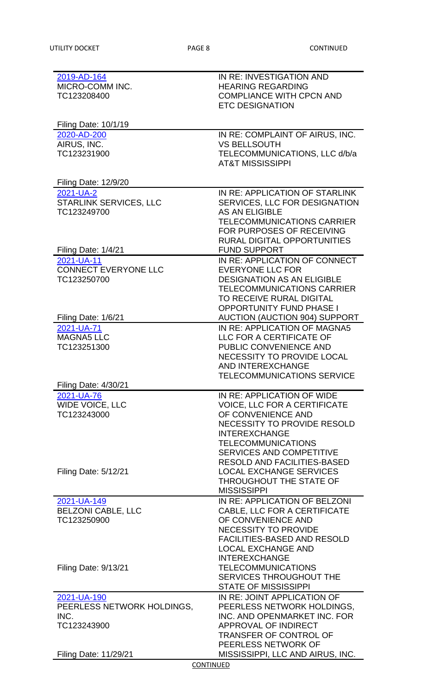| 2019-AD-164                  | IN RE: INVESTIGATION AND             |
|------------------------------|--------------------------------------|
| MICRO-COMM INC.              | <b>HEARING REGARDING</b>             |
| TC123208400                  | <b>COMPLIANCE WITH CPCN AND</b>      |
|                              | <b>ETC DESIGNATION</b>               |
|                              |                                      |
| <b>Filing Date: 10/1/19</b>  |                                      |
| 2020-AD-200                  | IN RE: COMPLAINT OF AIRUS, INC.      |
| AIRUS, INC.                  | <b>VS BELLSOUTH</b>                  |
| TC123231900                  | TELECOMMUNICATIONS, LLC d/b/a        |
|                              | <b>AT&amp;T MISSISSIPPI</b>          |
| <b>Filing Date: 12/9/20</b>  |                                      |
| 2021-UA-2                    | IN RE: APPLICATION OF STARLINK       |
| STARLINK SERVICES, LLC       | SERVICES, LLC FOR DESIGNATION        |
| TC123249700                  | <b>AS AN ELIGIBLE</b>                |
|                              | <b>TELECOMMUNICATIONS CARRIER</b>    |
|                              | FOR PURPOSES OF RECEIVING            |
|                              | <b>RURAL DIGITAL OPPORTUNITIES</b>   |
| Filing Date: 1/4/21          | <b>FUND SUPPORT</b>                  |
| 2021-UA-11                   | IN RE: APPLICATION OF CONNECT        |
| <b>CONNECT EVERYONE LLC</b>  | <b>EVERYONE LLC FOR</b>              |
| TC123250700                  | <b>DESIGNATION AS AN ELIGIBLE</b>    |
|                              | <b>TELECOMMUNICATIONS CARRIER</b>    |
|                              | TO RECEIVE RURAL DIGITAL             |
|                              | <b>OPPORTUNITY FUND PHASE I</b>      |
| Filing Date: 1/6/21          | <b>AUCTION (AUCTION 904) SUPPORT</b> |
| 2021-UA-71                   | IN RE: APPLICATION OF MAGNA5         |
| <b>MAGNA5 LLC</b>            | LLC FOR A CERTIFICATE OF             |
| TC123251300                  | PUBLIC CONVENIENCE AND               |
|                              | NECESSITY TO PROVIDE LOCAL           |
|                              | <b>AND INTEREXCHANGE</b>             |
|                              | <b>TELECOMMUNICATIONS SERVICE</b>    |
| <b>Filing Date: 4/30/21</b>  |                                      |
| 2021-UA-76                   | IN RE: APPLICATION OF WIDE           |
| WIDE VOICE, LLC              | <b>VOICE, LLC FOR A CERTIFICATE</b>  |
| TC123243000                  | OF CONVENIENCE AND                   |
|                              | <b>NECESSITY TO PROVIDE RESOLD</b>   |
|                              | <b>INTEREXCHANGE</b>                 |
|                              | <b>TELECOMMUNICATIONS</b>            |
|                              | <b>SERVICES AND COMPETITIVE</b>      |
|                              | <b>RESOLD AND FACILITIES-BASED</b>   |
| <b>Filing Date: 5/12/21</b>  | <b>LOCAL EXCHANGE SERVICES</b>       |
|                              | THROUGHOUT THE STATE OF              |
|                              | <b>MISSISSIPPI</b>                   |
| 2021-UA-149                  | IN RE: APPLICATION OF BELZONI        |
| <b>BELZONI CABLE, LLC</b>    | CABLE, LLC FOR A CERTIFICATE         |
| TC123250900                  | OF CONVENIENCE AND                   |
|                              | <b>NECESSITY TO PROVIDE</b>          |
|                              | <b>FACILITIES-BASED AND RESOLD</b>   |
|                              | <b>LOCAL EXCHANGE AND</b>            |
|                              | <b>INTEREXCHANGE</b>                 |
| <b>Filing Date: 9/13/21</b>  | <b>TELECOMMUNICATIONS</b>            |
|                              | <b>SERVICES THROUGHOUT THE</b>       |
|                              | <b>STATE OF MISSISSIPPI</b>          |
| 2021-UA-190                  | IN RE: JOINT APPLICATION OF          |
| PEERLESS NETWORK HOLDINGS,   | PEERLESS NETWORK HOLDINGS,           |
| INC.                         | INC. AND OPENMARKET INC. FOR         |
| TC123243900                  | <b>APPROVAL OF INDIRECT</b>          |
|                              | <b>TRANSFER OF CONTROL OF</b>        |
|                              | PEERLESS NETWORK OF                  |
| <b>Filing Date: 11/29/21</b> | MISSISSIPPI, LLC AND AIRUS, INC.     |
| CONTINUED                    |                                      |